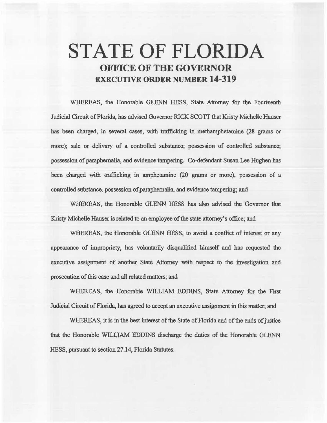# **STATE OF FLORIDA OFFICE OF THE GOVERNOR EXECUTIVE ORDER NUMBER 14-319**

WHEREAS, the Honorable GLENN HESS, State Attorney for the Fourteenth Judicial Circuit of Florida, has advised Governor RICK SCOTT that Kristy Michelle Hauser has been charged, in several cases, with trafficking in methamphetamine (28 grams or more); sale or delivery of a controlled substance; possession of controlled substance; possession of paraphernalia, and evidence tampering. Co-defendant Susan Lee Hughen has been charged with trafficking in amphetamine (20 grams or more), possession of a controlled substance, possession of paraphernalia, and evidence tampering; and

WHEREAS, the Honorable GLENN HESS has aliso advised the Governor that Kristy Michelle Hauser is related to an employee of the state attorney's office; and

WHEREAS, the Honorable GLENN HESS, to avoid a conflict of interest or any appearance of impropriety, has voluntarily disqualified himself and has requested the executive assignment of another State Attorney with respect to the investigation and prosecution of this case and all related matters; and

WHEREAS, the Honorable WJLLIAM EDDINS, State Attorney for the First Judicial Circuit of Florida, has agreed to accept an executive assignment in this matter; and

WHEREAS, it is in the best interest of the State of Florida and of the ends of justice that the Honorable WILLIAM EDDINS discharge the duties of the Honorable GLENN HESS, pursuant to section 27.14, Florida Statutes.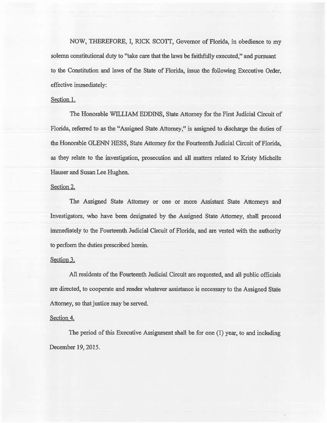NOW, THEREFORE, I, RICK SCOTT, Governor of Florida, in obedience to my solemn constitutional duty to "take care that the laws be faithfully executed," and pursuant to the Constitution and laws of the State of Florida, issue the following Executive Order, effective immediately:

## Section 1.

The Honorable WILLIAM EDDINS, State Attorney for the First Judicial Circuit of Florida, referred to as the "Assigned State Attorney," is assigned to discharge the duties of the Honorable GLENN HESS, State Attorney for the Fourteenth Judicial Circuit of Florida, as they relate to the investigation, prosecution and all matters related to Kristy Michelle Hauser and Susan Lee Hughen.

## Section 2.

The Assigned State Attorney or one or more Assistant State Attorneys and Investigators, who have been designated by the Assigned State Attorney, shall proceed immediately to the Fourteenth Judicial Circuit of Florida, and are vested with the authority to perform the duties prescribed herein.

#### Section 3.

All residents of the Fourteenth Judicial Circuit are requested, and all public officials are directed, to cooperate and render whatever assistance is necessary to the Assigned State Attorney, so that justice may be served.

#### Section 4.

The period of this Executive Assignment shall be for one (1) year, to and including December 19, 2015.